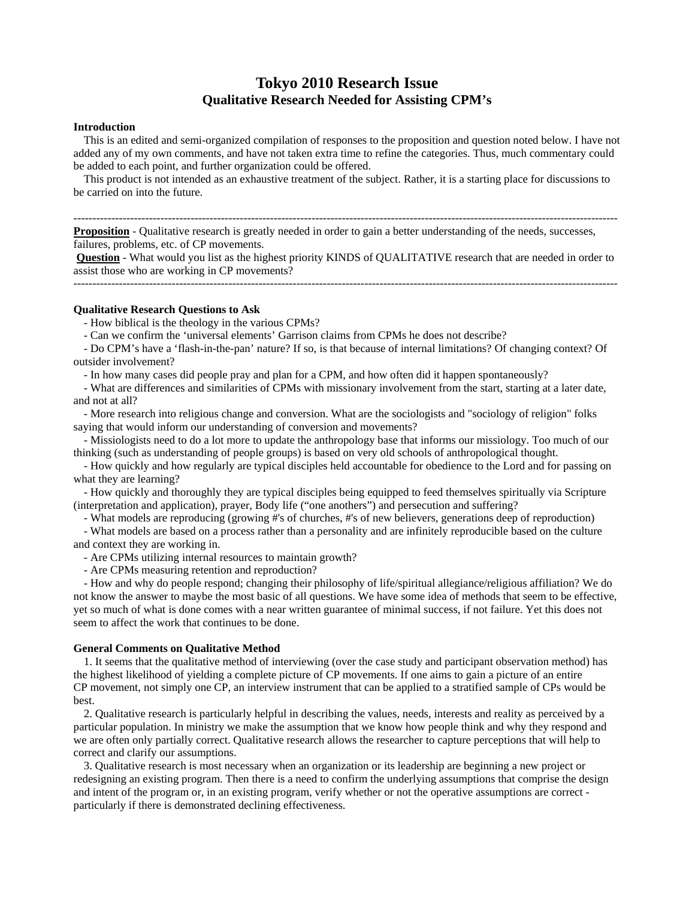## **Tokyo 2010 Research Issue Qualitative Research Needed for Assisting CPM's**

## **Introduction**

 This is an edited and semi-organized compilation of responses to the proposition and question noted below. I have not added any of my own comments, and have not taken extra time to refine the categories. Thus, much commentary could be added to each point, and further organization could be offered.

 This product is not intended as an exhaustive treatment of the subject. Rather, it is a starting place for discussions to be carried on into the future.

------------------------------------------------------------------------------------------------------------------------------------------------

**Proposition** - Qualitative research is greatly needed in order to gain a better understanding of the needs, successes, failures, problems, etc. of CP movements.

**Question** - What would you list as the highest priority KINDS of QUALITATIVE research that are needed in order to assist those who are working in CP movements?

------------------------------------------------------------------------------------------------------------------------------------------------

## **Qualitative Research Questions to Ask**

- How biblical is the theology in the various CPMs?

- Can we confirm the 'universal elements' Garrison claims from CPMs he does not describe?

 - Do CPM's have a 'flash-in-the-pan' nature? If so, is that because of internal limitations? Of changing context? Of outsider involvement?

- In how many cases did people pray and plan for a CPM, and how often did it happen spontaneously?

 - What are differences and similarities of CPMs with missionary involvement from the start, starting at a later date, and not at all?

 - More research into religious change and conversion. What are the sociologists and "sociology of religion" folks saying that would inform our understanding of conversion and movements?

 - Missiologists need to do a lot more to update the anthropology base that informs our missiology. Too much of our thinking (such as understanding of people groups) is based on very old schools of anthropological thought.

 - How quickly and how regularly are typical disciples held accountable for obedience to the Lord and for passing on what they are learning?

 - How quickly and thoroughly they are typical disciples being equipped to feed themselves spiritually via Scripture (interpretation and application), prayer, Body life ("one anothers") and persecution and suffering?

- What models are reproducing (growing #'s of churches, #'s of new believers, generations deep of reproduction)

 - What models are based on a process rather than a personality and are infinitely reproducible based on the culture and context they are working in.

- Are CPMs utilizing internal resources to maintain growth?

- Are CPMs measuring retention and reproduction?

 - How and why do people respond; changing their philosophy of life/spiritual allegiance/religious affiliation? We do not know the answer to maybe the most basic of all questions. We have some idea of methods that seem to be effective, yet so much of what is done comes with a near written guarantee of minimal success, if not failure. Yet this does not seem to affect the work that continues to be done.

## **General Comments on Qualitative Method**

 1. It seems that the qualitative method of interviewing (over the case study and participant observation method) has the highest likelihood of yielding a complete picture of CP movements. If one aims to gain a picture of an entire CP movement, not simply one CP, an interview instrument that can be applied to a stratified sample of CPs would be best.

 2. Qualitative research is particularly helpful in describing the values, needs, interests and reality as perceived by a particular population. In ministry we make the assumption that we know how people think and why they respond and we are often only partially correct. Qualitative research allows the researcher to capture perceptions that will help to correct and clarify our assumptions.

 3. Qualitative research is most necessary when an organization or its leadership are beginning a new project or redesigning an existing program. Then there is a need to confirm the underlying assumptions that comprise the design and intent of the program or, in an existing program, verify whether or not the operative assumptions are correct particularly if there is demonstrated declining effectiveness.